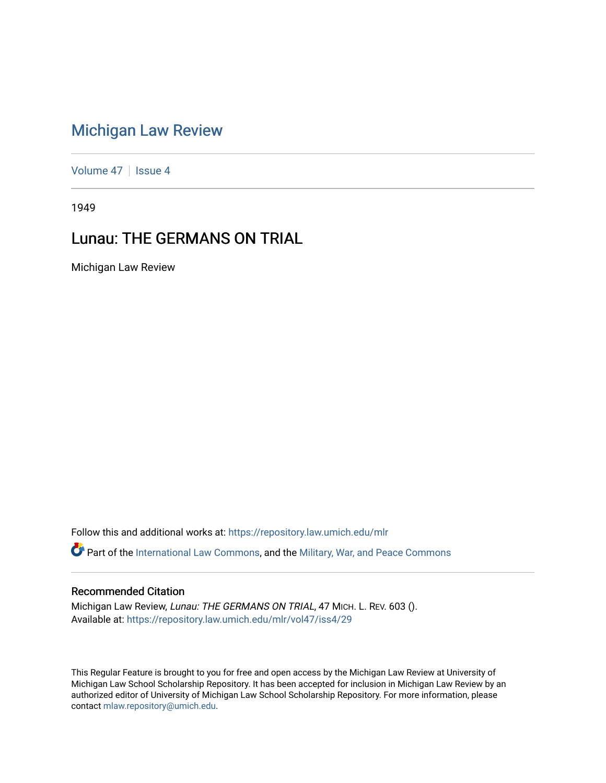## [Michigan Law Review](https://repository.law.umich.edu/mlr)

[Volume 47](https://repository.law.umich.edu/mlr/vol47) | [Issue 4](https://repository.law.umich.edu/mlr/vol47/iss4)

1949

## Lunau: THE GERMANS ON TRIAL

Michigan Law Review

Follow this and additional works at: [https://repository.law.umich.edu/mlr](https://repository.law.umich.edu/mlr?utm_source=repository.law.umich.edu%2Fmlr%2Fvol47%2Fiss4%2F29&utm_medium=PDF&utm_campaign=PDFCoverPages) 

Part of the [International Law Commons,](http://network.bepress.com/hgg/discipline/609?utm_source=repository.law.umich.edu%2Fmlr%2Fvol47%2Fiss4%2F29&utm_medium=PDF&utm_campaign=PDFCoverPages) and the [Military, War, and Peace Commons](http://network.bepress.com/hgg/discipline/861?utm_source=repository.law.umich.edu%2Fmlr%2Fvol47%2Fiss4%2F29&utm_medium=PDF&utm_campaign=PDFCoverPages) 

## Recommended Citation

Michigan Law Review, Lunau: THE GERMANS ON TRIAL, 47 MICH. L. REV. 603 (). Available at: [https://repository.law.umich.edu/mlr/vol47/iss4/29](https://repository.law.umich.edu/mlr/vol47/iss4/29?utm_source=repository.law.umich.edu%2Fmlr%2Fvol47%2Fiss4%2F29&utm_medium=PDF&utm_campaign=PDFCoverPages) 

This Regular Feature is brought to you for free and open access by the Michigan Law Review at University of Michigan Law School Scholarship Repository. It has been accepted for inclusion in Michigan Law Review by an authorized editor of University of Michigan Law School Scholarship Repository. For more information, please contact [mlaw.repository@umich.edu](mailto:mlaw.repository@umich.edu).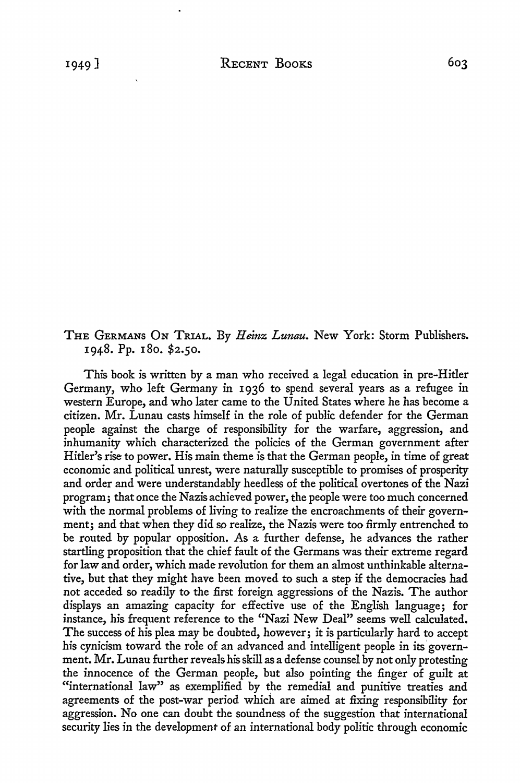## THE GERMANS ON TRIAL. By *Heinz Lunau.* New York: Storm Publishers. 1948. Pp. 180. \$2.50.

This book is written by a man who received a legal education in pre-Hitler Germany, who left Germany in 1936 to spend several years as a refugee in western Europe, and who later came to the United States where he has become a citizen. Mr. Lunau casts himself in the role of public defender for the German people against the charge of responsibility for the warfare, aggression, and inhumanity which characterized the policies of the German government after Hitler's rise to power. His main theme is that the German people, in time of great economic and political unrest, were naturally susceptible to promises of prosperity and order and were understandably heedless of the political overtones of the Nazi program; that once the Nazis achieved power, the people were too much concerned with the normal problems of living to realize the encroachments of their government; and that when they did so realize, the Nazis were too firmly entrenched to be routed by popular opposition. As a further defense, he advances the rather startling proposition that the chief fault of the Germans was their extreme regard for law and order, which made revolution for them an almost unthinkable alternative, but that they might have been moved to such a step if the democracies had not acceded so readily to the first foreign aggressions of the Nazis. The author displays an amazing capacity for effective use of the English language; for instance, his frequent reference to the "Nazi New Deal" seems well calculated. The success of his plea may be doubted, however; it is particularly hard to accept his cynicism toward the role of an advanced and intelligent people in its government. Mr. Lunau further reveals his skill as a defense counsel by not only protesting the innocence of the German people, but also pointing the finger of guilt at "international law" as exemplified by the remedial and punitive treaties and agreements of the post-war period which are aimed at fixing responsibility for aggression. No one can doubt the soundness of the suggestion that international security lies in the development of an international body politic through economic